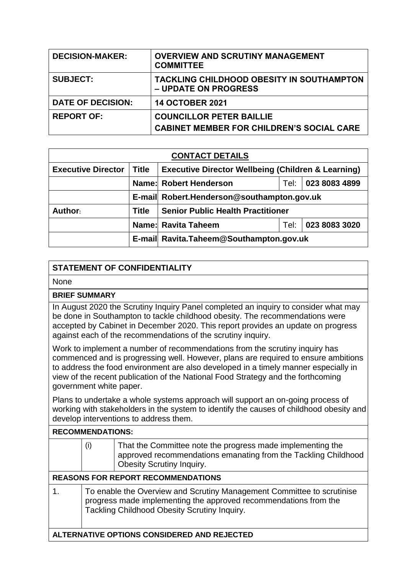| <b>DECISION-MAKER:</b>   | <b>OVERVIEW AND SCRUTINY MANAGEMENT</b><br><b>COMMITTEE</b>                         |
|--------------------------|-------------------------------------------------------------------------------------|
| <b>SUBJECT:</b>          | TACKLING CHILDHOOD OBESITY IN SOUTHAMPTON<br>– UPDATE ON PROGRESS                   |
| <b>DATE OF DECISION:</b> | <b>14 OCTOBER 2021</b>                                                              |
| <b>REPORT OF:</b>        | <b>COUNCILLOR PETER BAILLIE</b><br><b>CABINET MEMBER FOR CHILDREN'S SOCIAL CARE</b> |

| <b>CONTACT DETAILS</b>    |              |                                                               |      |               |  |
|---------------------------|--------------|---------------------------------------------------------------|------|---------------|--|
| <b>Executive Director</b> | <b>Title</b> | <b>Executive Director Wellbeing (Children &amp; Learning)</b> |      |               |  |
|                           |              | 023 8083 4899<br>Name: Robert Henderson<br>Tel:               |      |               |  |
|                           |              | E-mail Robert.Henderson@southampton.gov.uk                    |      |               |  |
| Author:                   | Title        | <b>Senior Public Health Practitioner</b>                      |      |               |  |
|                           |              | <b>Name: Ravita Taheem</b>                                    | Tel: | 023 8083 3020 |  |
|                           |              | E-mail Ravita.Taheem@Southampton.gov.uk                       |      |               |  |

## **STATEMENT OF CONFIDENTIALITY**

None

## **BRIEF SUMMARY**

In August 2020 the Scrutiny Inquiry Panel completed an inquiry to consider what may be done in Southampton to tackle childhood obesity. The recommendations were accepted by Cabinet in December 2020. This report provides an update on progress against each of the recommendations of the scrutiny inquiry.

Work to implement a number of recommendations from the scrutiny inquiry has commenced and is progressing well. However, plans are required to ensure ambitions to address the food environment are also developed in a timely manner especially in view of the recent publication of the National Food Strategy and the forthcoming government white paper.

Plans to undertake a whole systems approach will support an on-going process of working with stakeholders in the system to identify the causes of childhood obesity and develop interventions to address them.

| <b>RECOMMENDATIONS:</b>                     |                                                                                                                                                                                            |                                                                                                                                                                  |  |
|---------------------------------------------|--------------------------------------------------------------------------------------------------------------------------------------------------------------------------------------------|------------------------------------------------------------------------------------------------------------------------------------------------------------------|--|
|                                             | (i)                                                                                                                                                                                        | That the Committee note the progress made implementing the<br>approved recommendations emanating from the Tackling Childhood<br><b>Obesity Scrutiny Inquiry.</b> |  |
| <b>REASONS FOR REPORT RECOMMENDATIONS</b>   |                                                                                                                                                                                            |                                                                                                                                                                  |  |
| 1.                                          | To enable the Overview and Scrutiny Management Committee to scrutinise<br>progress made implementing the approved recommendations from the<br>Tackling Childhood Obesity Scrutiny Inquiry. |                                                                                                                                                                  |  |
| ALTERNATIVE OPTIONS CONSIDERED AND REJECTED |                                                                                                                                                                                            |                                                                                                                                                                  |  |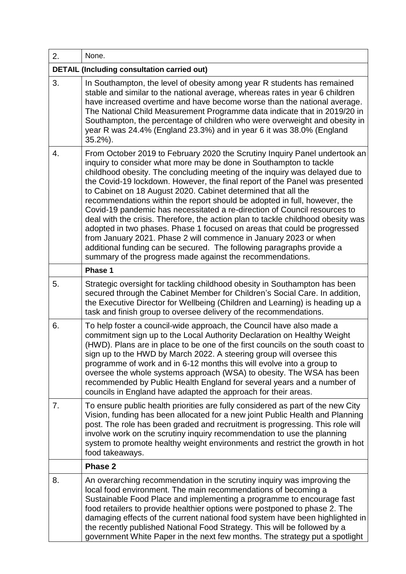| 2. | None.                                                                                                                                                                                                                                                                                                                                                                                                                                                                                                                                                                                                                                                                                                                                                                                                                                                                                                               |  |  |  |
|----|---------------------------------------------------------------------------------------------------------------------------------------------------------------------------------------------------------------------------------------------------------------------------------------------------------------------------------------------------------------------------------------------------------------------------------------------------------------------------------------------------------------------------------------------------------------------------------------------------------------------------------------------------------------------------------------------------------------------------------------------------------------------------------------------------------------------------------------------------------------------------------------------------------------------|--|--|--|
|    | <b>DETAIL (Including consultation carried out)</b>                                                                                                                                                                                                                                                                                                                                                                                                                                                                                                                                                                                                                                                                                                                                                                                                                                                                  |  |  |  |
| 3. | In Southampton, the level of obesity among year R students has remained<br>stable and similar to the national average, whereas rates in year 6 children<br>have increased overtime and have become worse than the national average.<br>The National Child Measurement Programme data indicate that in 2019/20 in<br>Southampton, the percentage of children who were overweight and obesity in<br>year R was 24.4% (England 23.3%) and in year 6 it was 38.0% (England<br>$35.2\%$ ).                                                                                                                                                                                                                                                                                                                                                                                                                               |  |  |  |
| 4. | From October 2019 to February 2020 the Scrutiny Inquiry Panel undertook an<br>inquiry to consider what more may be done in Southampton to tackle<br>childhood obesity. The concluding meeting of the inquiry was delayed due to<br>the Covid-19 lockdown. However, the final report of the Panel was presented<br>to Cabinet on 18 August 2020. Cabinet determined that all the<br>recommendations within the report should be adopted in full, however, the<br>Covid-19 pandemic has necessitated a re-direction of Council resources to<br>deal with the crisis. Therefore, the action plan to tackle childhood obesity was<br>adopted in two phases. Phase 1 focused on areas that could be progressed<br>from January 2021. Phase 2 will commence in January 2023 or when<br>additional funding can be secured. The following paragraphs provide a<br>summary of the progress made against the recommendations. |  |  |  |
|    | Phase 1                                                                                                                                                                                                                                                                                                                                                                                                                                                                                                                                                                                                                                                                                                                                                                                                                                                                                                             |  |  |  |
| 5. | Strategic oversight for tackling childhood obesity in Southampton has been<br>secured through the Cabinet Member for Children's Social Care. In addition,<br>the Executive Director for Wellbeing (Children and Learning) is heading up a<br>task and finish group to oversee delivery of the recommendations.                                                                                                                                                                                                                                                                                                                                                                                                                                                                                                                                                                                                      |  |  |  |
| 6. | To help foster a council-wide approach, the Council have also made a<br>commitment sign up to the Local Authority Declaration on Healthy Weight<br>(HWD). Plans are in place to be one of the first councils on the south coast to<br>sign up to the HWD by March 2022. A steering group will oversee this<br>programme of work and in 6-12 months this will evolve into a group to<br>oversee the whole systems approach (WSA) to obesity. The WSA has been<br>recommended by Public Health England for several years and a number of<br>councils in England have adapted the approach for their areas.                                                                                                                                                                                                                                                                                                            |  |  |  |
| 7. | To ensure public health priorities are fully considered as part of the new City<br>Vision, funding has been allocated for a new joint Public Health and Planning<br>post. The role has been graded and recruitment is progressing. This role will<br>involve work on the scrutiny inquiry recommendation to use the planning<br>system to promote healthy weight environments and restrict the growth in hot<br>food takeaways.                                                                                                                                                                                                                                                                                                                                                                                                                                                                                     |  |  |  |
|    | Phase 2                                                                                                                                                                                                                                                                                                                                                                                                                                                                                                                                                                                                                                                                                                                                                                                                                                                                                                             |  |  |  |
| 8. | An overarching recommendation in the scrutiny inquiry was improving the<br>local food environment. The main recommendations of becoming a<br>Sustainable Food Place and implementing a programme to encourage fast<br>food retailers to provide healthier options were postponed to phase 2. The<br>damaging effects of the current national food system have been highlighted in<br>the recently published National Food Strategy. This will be followed by a<br>government White Paper in the next few months. The strategy put a spotlight                                                                                                                                                                                                                                                                                                                                                                       |  |  |  |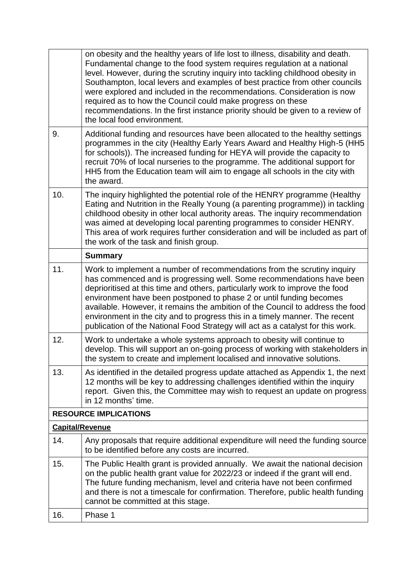|     | on obesity and the healthy years of life lost to illness, disability and death.<br>Fundamental change to the food system requires regulation at a national<br>level. However, during the scrutiny inquiry into tackling childhood obesity in<br>Southampton, local levers and examples of best practice from other councils<br>were explored and included in the recommendations. Consideration is now<br>required as to how the Council could make progress on these<br>recommendations. In the first instance priority should be given to a review of<br>the local food environment. |  |  |  |  |
|-----|----------------------------------------------------------------------------------------------------------------------------------------------------------------------------------------------------------------------------------------------------------------------------------------------------------------------------------------------------------------------------------------------------------------------------------------------------------------------------------------------------------------------------------------------------------------------------------------|--|--|--|--|
| 9.  | Additional funding and resources have been allocated to the healthy settings<br>programmes in the city (Healthy Early Years Award and Healthy High-5 (HH5<br>for schools)). The increased funding for HEYA will provide the capacity to<br>recruit 70% of local nurseries to the programme. The additional support for<br>HH5 from the Education team will aim to engage all schools in the city with<br>the award.                                                                                                                                                                    |  |  |  |  |
| 10. | The inquiry highlighted the potential role of the HENRY programme (Healthy<br>Eating and Nutrition in the Really Young (a parenting programme)) in tackling<br>childhood obesity in other local authority areas. The inquiry recommendation<br>was aimed at developing local parenting programmes to consider HENRY.<br>This area of work requires further consideration and will be included as part of<br>the work of the task and finish group.                                                                                                                                     |  |  |  |  |
|     | <b>Summary</b>                                                                                                                                                                                                                                                                                                                                                                                                                                                                                                                                                                         |  |  |  |  |
| 11. | Work to implement a number of recommendations from the scrutiny inquiry<br>has commenced and is progressing well. Some recommendations have been<br>deprioritised at this time and others, particularly work to improve the food<br>environment have been postponed to phase 2 or until funding becomes<br>available. However, it remains the ambition of the Council to address the food<br>environment in the city and to progress this in a timely manner. The recent<br>publication of the National Food Strategy will act as a catalyst for this work.                            |  |  |  |  |
| 12. | Work to undertake a whole systems approach to obesity will continue to<br>develop. This will support an on-going process of working with stakeholders in<br>the system to create and implement localised and innovative solutions.                                                                                                                                                                                                                                                                                                                                                     |  |  |  |  |
| 13. | As identified in the detailed progress update attached as Appendix 1, the next<br>12 months will be key to addressing challenges identified within the inquiry<br>report. Given this, the Committee may wish to request an update on progress<br>in 12 months' time.                                                                                                                                                                                                                                                                                                                   |  |  |  |  |
|     | <b>RESOURCE IMPLICATIONS</b>                                                                                                                                                                                                                                                                                                                                                                                                                                                                                                                                                           |  |  |  |  |
|     | <b>Capital/Revenue</b>                                                                                                                                                                                                                                                                                                                                                                                                                                                                                                                                                                 |  |  |  |  |
| 14. | Any proposals that require additional expenditure will need the funding source<br>to be identified before any costs are incurred.                                                                                                                                                                                                                                                                                                                                                                                                                                                      |  |  |  |  |
| 15. | The Public Health grant is provided annually. We await the national decision<br>on the public health grant value for 2022/23 or indeed if the grant will end.<br>The future funding mechanism, level and criteria have not been confirmed<br>and there is not a timescale for confirmation. Therefore, public health funding<br>cannot be committed at this stage.                                                                                                                                                                                                                     |  |  |  |  |
| 16. | Phase 1                                                                                                                                                                                                                                                                                                                                                                                                                                                                                                                                                                                |  |  |  |  |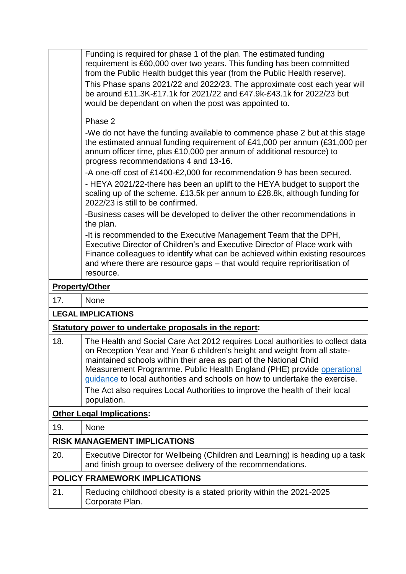|                                      | Funding is required for phase 1 of the plan. The estimated funding<br>requirement is £60,000 over two years. This funding has been committed<br>from the Public Health budget this year (from the Public Health reserve).<br>This Phase spans 2021/22 and 2022/23. The approximate cost each year will<br>be around £11.3K-£17.1k for 2021/22 and £47.9k-£43.1k for 2022/23 but<br>would be dependant on when the post was appointed to.<br>Phase 2<br>-We do not have the funding available to commence phase 2 but at this stage<br>the estimated annual funding requirement of £41,000 per annum (£31,000 per |  |  |
|--------------------------------------|------------------------------------------------------------------------------------------------------------------------------------------------------------------------------------------------------------------------------------------------------------------------------------------------------------------------------------------------------------------------------------------------------------------------------------------------------------------------------------------------------------------------------------------------------------------------------------------------------------------|--|--|
|                                      | annum officer time, plus £10,000 per annum of additional resource) to<br>progress recommendations 4 and 13-16.                                                                                                                                                                                                                                                                                                                                                                                                                                                                                                   |  |  |
|                                      | -A one-off cost of £1400-£2,000 for recommendation 9 has been secured.                                                                                                                                                                                                                                                                                                                                                                                                                                                                                                                                           |  |  |
|                                      | - HEYA 2021/22-there has been an uplift to the HEYA budget to support the<br>scaling up of the scheme. £13.5k per annum to £28.8k, although funding for<br>2022/23 is still to be confirmed.                                                                                                                                                                                                                                                                                                                                                                                                                     |  |  |
|                                      | -Business cases will be developed to deliver the other recommendations in<br>the plan.                                                                                                                                                                                                                                                                                                                                                                                                                                                                                                                           |  |  |
|                                      | -It is recommended to the Executive Management Team that the DPH,<br>Executive Director of Children's and Executive Director of Place work with<br>Finance colleagues to identify what can be achieved within existing resources<br>and where there are resource gaps – that would require reprioritisation of<br>resource.                                                                                                                                                                                                                                                                                      |  |  |
|                                      | <b>Property/Other</b>                                                                                                                                                                                                                                                                                                                                                                                                                                                                                                                                                                                            |  |  |
| 17.                                  | None                                                                                                                                                                                                                                                                                                                                                                                                                                                                                                                                                                                                             |  |  |
|                                      | <b>LEGAL IMPLICATIONS</b>                                                                                                                                                                                                                                                                                                                                                                                                                                                                                                                                                                                        |  |  |
|                                      | Statutory power to undertake proposals in the report:                                                                                                                                                                                                                                                                                                                                                                                                                                                                                                                                                            |  |  |
| 18.                                  | The Health and Social Care Act 2012 requires Local authorities to collect data<br>on Reception Year and Year 6 children's height and weight from all state-<br>maintained schools within their area as part of the National Child<br>Measurement Programme. Public Health England (PHE) provide operational<br>guidance to local authorities and schools on how to undertake the exercise.<br>The Act also requires Local Authorities to improve the health of their local<br>population.                                                                                                                        |  |  |
|                                      | <b>Other Legal Implications:</b>                                                                                                                                                                                                                                                                                                                                                                                                                                                                                                                                                                                 |  |  |
| 19.                                  | None                                                                                                                                                                                                                                                                                                                                                                                                                                                                                                                                                                                                             |  |  |
|                                      | <b>RISK MANAGEMENT IMPLICATIONS</b>                                                                                                                                                                                                                                                                                                                                                                                                                                                                                                                                                                              |  |  |
| 20.                                  | Executive Director for Wellbeing (Children and Learning) is heading up a task<br>and finish group to oversee delivery of the recommendations.                                                                                                                                                                                                                                                                                                                                                                                                                                                                    |  |  |
| <b>POLICY FRAMEWORK IMPLICATIONS</b> |                                                                                                                                                                                                                                                                                                                                                                                                                                                                                                                                                                                                                  |  |  |
| 21.                                  | Reducing childhood obesity is a stated priority within the 2021-2025                                                                                                                                                                                                                                                                                                                                                                                                                                                                                                                                             |  |  |